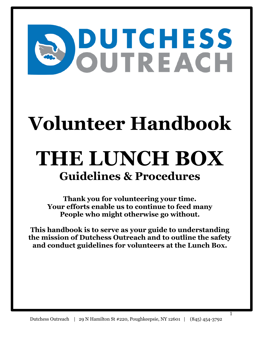# **DUTCHESS**<br>OUTREACH

# **Volunteer Handbook**

# **THE LUNCH BOX Guidelines & Procedures**

**Thank you for volunteering your time. Your efforts enable us to continue to feed many People who might otherwise go without.**

**This handbook is to serve as your guide to understanding the mission of Dutchess Outreach and to outline the safety and conduct guidelines for volunteers at the Lunch Box.**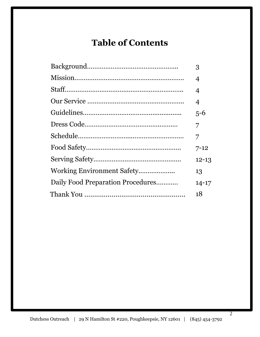# **Table of Contents**

|                                   | 3         |
|-----------------------------------|-----------|
|                                   | 4         |
|                                   | 4         |
|                                   | 4         |
|                                   | $5 - 6$   |
|                                   | 7         |
|                                   | 7         |
|                                   | $7 - 12$  |
|                                   | $12 - 13$ |
|                                   | 13        |
| Daily Food Preparation Procedures | $14 - 17$ |
|                                   | 18        |
|                                   |           |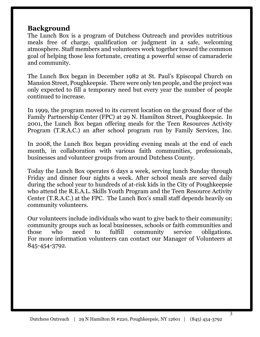# **Background**

The Lunch Box is a program of Dutchess Outreach and provides nutritious meals free of charge, qualification or judgment in a safe, welcoming atmosphere. Staff members and volunteers work together toward the common goal of helping those less fortunate, creating a powerful sense of camaraderie and community.

The Lunch Box began in December 1982 at St. Paul's Episcopal Church on Mansion Street, Poughkeepsie. There were only ten people, and the project was only expected to fill a temporary need but every year the number of people continued to increase.

In 1999, the program moved to its current location on the ground floor of the Family Partnership Center (FPC) at 29 N. Hamilton Street, Poughkeepsie. In 2001, the Lunch Box began offering meals for the Teen Resources Activity Program (T.R.A.C.) an after school program run by Family Services, Inc.

In 2008, the Lunch Box began providing evening meals at the end of each month, in collaboration with various faith communities, professionals, businesses and volunteer groups from around Dutchess County.

Today the Lunch Box operates 6 days a week, serving lunch Sunday through Friday and dinner four nights a week. After school meals are served daily during the school year to hundreds of at-risk kids in the City of Poughkeepsie who attend the R.E.A.L. Skills Youth Program and the Teen Resource Activity Center (T.R.A.C.) at the FPC. The Lunch Box's small staff depends heavily on community volunteers.

Our volunteers include individuals who want to give back to their community; community groups such as local businesses, schools or faith communities and those who need to fulfill community service obligations. For more information volunteers can contact our Manager of Volunteers at 845-454-3792.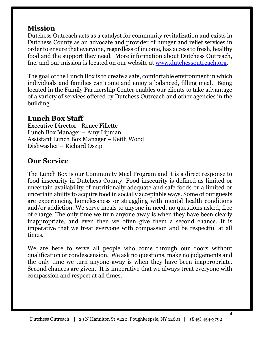# **Mission**

Dutchess Outreach acts as a catalyst for community revitalization and exists in Dutchess County as an advocate and provider of hunger and relief services in order to ensure that everyone, regardless of income, has access to fresh, healthy food and the support they need. More information about Dutchess Outreach, Inc. and our mission is located on our website at [www.dutchessoutreach.org.](http://www.dutchessoutreach.org/)

The goal of the Lunch Box is to create a safe, comfortable environment in which individuals and families can come and enjoy a balanced, filling meal. Being located in the Family Partnership Center enables our clients to take advantage of a variety of services offered by Dutchess Outreach and other agencies in the building.

# **Lunch Box Staff**

Executive Director - Renee Fillette Lunch Box Manager – Amy Lipman Assistant Lunch Box Manager – Keith Wood Dishwasher – Richard Oszip

# **Our Service**

The Lunch Box is our Community Meal Program and it is a direct response to food insecurity in Dutchess County. Food insecurity is defined as limited or uncertain availability of nutritionally adequate and safe foods or a limited or uncertain ability to acquire food in socially acceptable ways. Some of our guests are experiencing homelessness or struggling with mental health conditions and/or addiction. We serve meals to anyone in need, no questions asked, free of charge. The only time we turn anyone away is when they have been clearly inappropriate, and even then we often give them a second chance. It is imperative that we treat everyone with compassion and be respectful at all times.

We are here to serve all people who come through our doors without qualification or condescension. We ask no questions, make no judgements and the only time we turn anyone away is when they have been inappropriate. Second chances are given. It is imperative that we always treat everyone with compassion and respect at all times.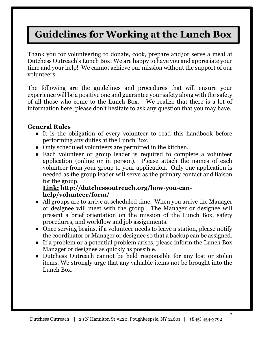# **Guidelines for Working at the Lunch Box**

Thank you for volunteering to donate, cook, prepare and/or serve a meal at Dutchess Outreach's Lunch Box! We are happy to have you and appreciate your time and your help! We cannot achieve our mission without the support of our volunteers.

The following are the guidelines and procedures that will ensure your experience will be a positive one and guarantee your safety along with the safety of all those who come to the Lunch Box. We realize that there is a lot of information here, please don't hesitate to ask any question that you may have.

## **General Rules**

- It is the obligation of every volunteer to read this handbook before performing any duties at the Lunch Box.
- Only scheduled volunteers are permitted in the kitchen.
- Each volunteer or group leader is required to complete a volunteer application (online or in person). Please attach the names of each volunteer from your group to your application. Only one application is needed as the group leader will serve as the primary contact and liaison for the group.

## **Link: http://dutchessoutreach.org/how-you-canhelp/volunteer/form/**

- All groups are to arrive at scheduled time. When you arrive the Manager or designee will meet with the group. The Manager or designee will present a brief orientation on the mission of the Lunch Box, safety procedures, and workflow and job assignments.
- Once serving begins, if a volunteer needs to leave a station, please notify the coordinator or Manager or designee so that a backup can be assigned.
- If a problem or a potential problem arises, please inform the Lunch Box Manager or designee as quickly as possible.
- Dutchess Outreach cannot be held responsible for any lost or stolen items. We strongly urge that any valuable items not be brought into the Lunch Box.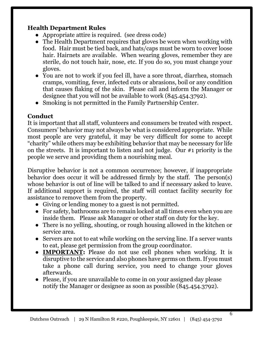## **Health Department Rules**

- Appropriate attire is required. (see dress code)
- The Health Department requires that gloves be worn when working with food. Hair must be tied back, and hats/caps must be worn to cover loose hair. Hairnets are available. When wearing gloves, remember they are sterile, do not touch hair, nose, etc. If you do so, you must change your gloves.
- You are not to work if you feel ill, have a sore throat, diarrhea, stomach cramps, vomiting, fever, infected cuts or abrasions, boil or any condition that causes flaking of the skin. Please call and inform the Manager or designee that you will not be available to work (845.454.3792).
- Smoking is not permitted in the Family Partnership Center.

# **Conduct**

It is important that all staff, volunteers and consumers be treated with respect. Consumers' behavior may not always be what is considered appropriate. While most people are very grateful, it may be very difficult for some to accept "charity" while others may be exhibiting behavior that may be necessary for life on the streets. It is important to listen and not judge. Our #1 priority is the people we serve and providing them a nourishing meal.

Disruptive behavior is not a common occurrence; however, if inappropriate behavior does occur it will be addressed firmly by the staff. The person(s) whose behavior is out of line will be talked to and if necessary asked to leave. If additional support is required, the staff will contact facility security for assistance to remove them from the property.

- Giving or lending money to a guest is not permitted.
- For safety, bathrooms are to remain locked at all times even when you are inside them. Please ask Manager or other staff on duty for the key.
- There is no yelling, shouting, or rough housing allowed in the kitchen or service area.
- Servers are not to eat while working on the serving line. If a server wants to eat, please get permission from the group coordinator.
- **IMPORTANT:** Please do not use cell phones when working. It is disruptive to the service and also phones have germs on them. If you must take a phone call during service, you need to change your gloves afterwards.
- Please, if you are unavailable to come in on your assigned day please notify the Manager or designee as soon as possible (845.454.3792).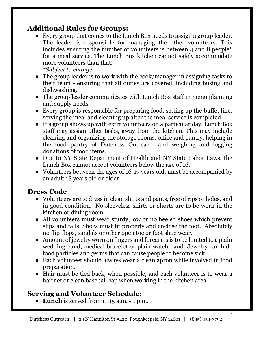# **Additional Rules for Groups:**

● Every group that comes to the Lunch Box needs to assign a group leader. The leader is responsible for managing the other volunteers. This includes ensuring the number of volunteers is between 4 and 8 people\* for a meal service. The Lunch Box kitchen cannot safely accommodate more volunteers than that.

*\*Subject to change*

- The group leader is to work with the cook/manager in assigning tasks to their team - ensuring that all duties are covered, including busing and dishwashing.
- The group leader communicates with Lunch Box staff in menu planning and supply needs.
- Every group is responsible for preparing food, setting up the buffet line, serving the meal and cleaning up after the meal service is completed.
- If a group shows up with extra volunteers on a particular day, Lunch Box staff may assign other tasks, away from the kitchen. This may include cleaning and organizing the storage rooms, office and pantry, helping in the food pantry of Dutchess Outreach, and weighing and logging donations of food items.
- Due to NY State Department of Health and NY State Labor Laws, the Lunch Box cannot accept volunteers below the age of 16.
- Volunteers between the ages of 16-17 years old, must be accompanied by an adult 18 years old or older.

# **Dress Code**

- Volunteers are to dress in clean shirts and pants, free of rips or holes, and in good condition. No sleeveless shirts or shorts are to be worn in the kitchen or dining room.
- All volunteers must wear sturdy, low or no heeled shoes which prevent slips and falls. Shoes must fit properly and enclose the foot. Absolutely no flip-flops, sandals or other open toe or foot shoe wear.
- Amount of jewelry worn on fingers and forearms is to be limited to a plain wedding band, medical bracelet or plain watch band. Jewelry can hide food particles and germs that can cause people to become sick.
- Each volunteer should always wear a clean apron while involved in food preparation.
- Hair must be tied back, when possible, and each volunteer is to wear a hairnet or clean baseball cap when working in the kitchen area.

# **Serving and Volunteer Schedule:**

● **Lunch** is served from 11:15 a.m. - 1 p.m.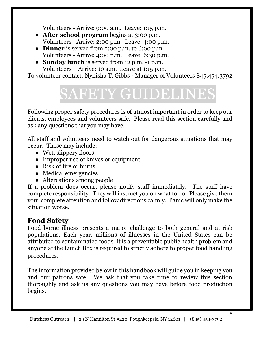Volunteers - Arrive: 9:00 a.m. Leave: 1:15 p.m.

- **After school program** begins at 3:00 p.m. Volunteers - Arrive: 2:00 p.m. Leave: 4:00 p.m.
- **Dinner** is served from 5:00 p.m. to 6:00 p.m. Volunteers - Arrive: 4:00 p.m. Leave: 6:30 p.m.
- **Sunday lunch** is served from 12 p.m. -1 p.m. Volunteers – Arrive: 10 a.m. Leave at 1:15 p.m.

To volunteer contact: Nyhisha T. Gibbs - Manager of Volunteers 845.454.3792

# **SAFETY GUIDELIN**

Following proper safety procedures is of utmost important in order to keep our clients, employees and volunteers safe. Please read this section carefully and ask any questions that you may have.

All staff and volunteers need to watch out for dangerous situations that may occur. These may include:

- Wet, slippery floors
- Improper use of knives or equipment
- Risk of fire or burns
- Medical emergencies
- Altercations among people

If a problem does occur, please notify staff immediately. The staff have complete responsibility. They will instruct you on what to do. Please give them your complete attention and follow directions calmly. Panic will only make the situation worse.

# **Food Safety**

Food borne illness presents a major challenge to both general and at-risk populations. Each year, millions of illnesses in the United States can be attributed to contaminated foods. It is a preventable public health problem and anyone at the Lunch Box is required to strictly adhere to proper food handling procedures.

The information provided below in this handbook will guide you in keeping you and our patrons safe. We ask that you take time to review this section thoroughly and ask us any questions you may have before food production begins.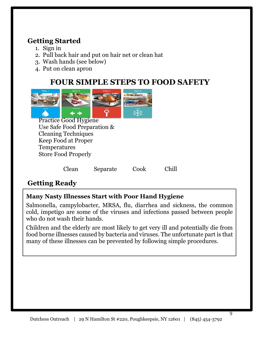# **Getting Started**

- 1. Sign in
- 2. Pull back hair and put on hair net or clean hat
- 3. Wash hands (see below)
- 4. Put on clean apron

# **FOUR SIMPLE STEPS TO FOOD SAFETY**



Practice Good Hygiene Use Safe Food Preparation & Cleaning Techniques Keep Food at Proper Temperatures Store Food Properly

Clean Separate Cook Chill

# **Getting Ready**

# **Many Nasty Illnesses Start with Poor Hand Hygiene**

Salmonella, campylobacter, MRSA, flu, diarrhea and sickness, the common cold, impetigo are some of the viruses and infections passed between people who do not wash their hands.

Children and the elderly are most likely to get very ill and potentially die from food borne illnesses caused by bacteria and viruses. The unfortunate part is that many of these illnesses can be prevented by following simple procedures.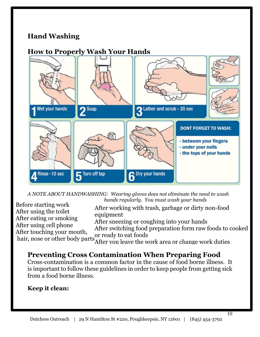# **Hand Washing**

# **How to Properly Wash Your Hands**



*A NOTE ABOUT HANDWASHING: Wearing gloves does not eliminate the need to wash hands regularly. You must wash your hands* Before starting work

After working with trash, garbage or dirty non-food equipment After sneezing or coughing into your hands

After using cell phone After touching your mouth,

After switching food preparation form raw foods to cooked or ready to eat foods

hair, nose or other body parts<sup>or ready</sup> to cat roods<br>After you leave the work area or change work duties

# **Preventing Cross Contamination When Preparing Food**

Cross-contamination is a common factor in the cause of food borne illness. It is important to follow these guidelines in order to keep people from getting sick from a food borne illness.

## **Keep it clean:**

After using the toilet After eating or smoking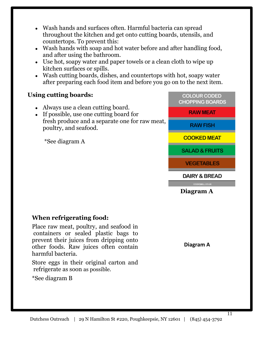- Wash hands and surfaces often. Harmful bacteria can spread throughout the kitchen and get onto cutting boards, utensils, and countertops. To prevent this:
- Wash hands with soap and hot water before and after handling food, and after using the bathroom.
- Use hot, soapy water and paper towels or a clean cloth to wipe up kitchen surfaces or spills.
- Wash cutting boards, dishes, and countertops with hot, soapy water after preparing each food item and before you go on to the next item.

# **Using cutting boards:**

- Always use a clean cutting board.
- If possible, use one cutting board for fresh produce and a separate one for raw meat, poultry, and seafood.

\*See diagram A

# **When refrigerating food:**

Place raw meat, poultry, and seafood in containers or sealed plastic bags to prevent their juices from dripping onto other foods. Raw juices often contain harmful bacteria.

Store eggs in their original carton and refrigerate as soon as possible.

\*See diagram B

**COLOUR CODED CHOPPING BOARDS RAW MEAT** RAW FISH **COOKED MEAT SALAD & FRUITS VEGETABLES DAIRY & BREAD** 

**Diagram A**

**COOKSIELL COUR** 

 **Diagram A**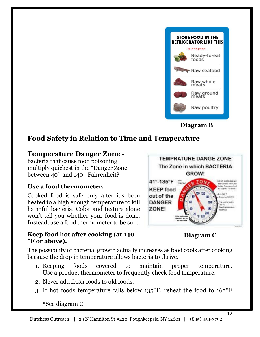**Diagram C**

## **Use a food thermometer.** Cooked food is safe only after it's been

**Temperature Danger Zone** bacteria that cause food poisoning

multiply quickest in the "Danger Zone" between 40° and 140° Fahrenheit?

heated to a high enough temperature to kill harmful bacteria. Color and texture alone won't tell you whether your food is done. Instead, use a food thermometer to be sure.

## **Keep food hot after cooking (at 140 ˚F or above).**

The possibility of bacterial growth actually increases as food cools after cooking because the drop in temperature allows bacteria to thrive.

**Food Safety in Relation to Time and Temperature** 

- 1. Keeping foods covered to maintain proper temperature. Use a product thermometer to frequently check food temperature.
- 2. Never add fresh foods to old foods.
- 3. If hot foods temperature falls below 135ºF, reheat the food to 165ºF





**Diagram B**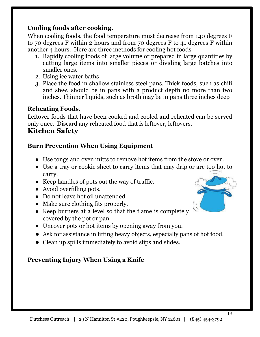# **Cooling foods after cooking.**

When cooling foods, the food temperature must decrease from 140 degrees F to 70 degrees F within 2 hours and from 70 degrees F to 41 degrees F within another 4 hours. Here are three methods for cooling hot foods

- 1. Rapidly cooling foods of large volume or prepared in large quantities by cutting large items into smaller pieces or dividing large batches into smaller ones.
- 2. Using ice water baths
- 3. Place the food in shallow stainless steel pans. Thick foods, such as chili and stew, should be in pans with a product depth no more than two inches. Thinner liquids, such as broth may be in pans three inches deep

# **Reheating Foods.**

Leftover foods that have been cooked and cooled and reheated can be served only once. Discard any reheated food that is leftover, leftovers.

# **Kitchen Safety**

# **Burn Prevention When Using Equipment**

- Use tongs and oven mitts to remove hot items from the stove or oven.
- Use a tray or cookie sheet to carry items that may drip or are too hot to carry.
- Keep handles of pots out the way of traffic.
- Avoid overfilling pots.
- Do not leave hot oil unattended.
- Make sure clothing fits properly.
- Keep burners at a level so that the flame is completely covered by the pot or pan.
- Uncover pots or hot items by opening away from you.
- Ask for assistance in lifting heavy objects, especially pans of hot food.
- Clean up spills immediately to avoid slips and slides.

# **Preventing Injury When Using a Knife**

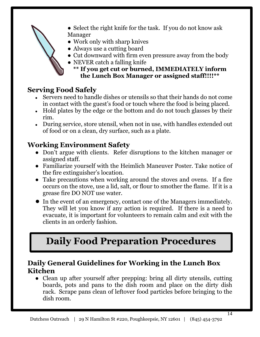- Select the right knife for the task. If you do not know ask Manager
- Work only with sharp knives
- Always use a cutting board
- Cut downward with firm even pressure away from the body
- NEVER catch a falling knife
	- **\*\* If you get cut or burned, IMMEDIATELY inform the Lunch Box Manager or assigned staff!!!!\*\***

# **Serving Food Safely**

- Servers need to handle dishes or utensils so that their hands do not come in contact with the guest's food or touch where the food is being placed.
- Hold plates by the edge or the bottom and do not touch glasses by their rim.
- During service, store utensil, when not in use, with handles extended out of food or on a clean, dry surface, such as a plate.

# **Working Environment Safety**

- Don't argue with clients. Refer disruptions to the kitchen manager or assigned staff.
- Familiarize yourself with the Heimlich Maneuver Poster. Take notice of the fire extinguisher's location.
- Take precautions when working around the stoves and ovens. If a fire occurs on the stove, use a lid, salt, or flour to smother the flame. If it is a grease fire DO NOT use water.
- In the event of an emergency, contact one of the Managers immediately. They will let you know if any action is required. If there is a need to evacuate, it is important for volunteers to remain calm and exit with the clients in an orderly fashion.

# **Daily Food Preparation Procedures**

# **Daily General Guidelines for Working in the Lunch Box Kitchen**

• Clean up after yourself after prepping: bring all dirty utensils, cutting boards, pots and pans to the dish room and place on the dirty dish rack. Scrape pans clean of leftover food particles before bringing to the dish room.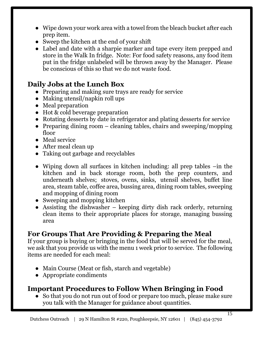- Wipe down your work area with a towel from the bleach bucket after each prep item.
- Sweep the kitchen at the end of your shift
- Label and date with a sharpie marker and tape every item prepped and store in the Walk In fridge. Note: For food safety reasons, any food item put in the fridge unlabeled will be thrown away by the Manager. Please be conscious of this so that we do not waste food.

# **Daily Jobs at the Lunch Box**

- Preparing and making sure trays are ready for service
- Making utensil/napkin roll ups
- Meal preparation
- Hot & cold beverage preparation
- Rotating desserts by date in refrigerator and plating desserts for service
- Preparing dining room  $-$  cleaning tables, chairs and sweeping/mopping floor
- Meal service
- After meal clean up
- Taking out garbage and recyclables
- Wiping down all surfaces in kitchen including: all prep tables –in the kitchen and in back storage room, both the prep counters, and underneath shelves; stoves, ovens, sinks, utensil shelves, buffet line area, steam table, coffee area, bussing area, dining room tables, sweeping and mopping of dining room
- Sweeping and mopping kitchen
- $\bullet$  Assisting the dishwasher keeping dirty dish rack orderly, returning clean items to their appropriate places for storage, managing bussing area

# **For Groups That Are Providing & Preparing the Meal**

If your group is buying or bringing in the food that will be served for the meal, we ask that you provide us with the menu 1 week prior to service. The following items are needed for each meal:

- Main Course (Meat or fish, starch and vegetable)
- Appropriate condiments

# **Important Procedures to Follow When Bringing in Food**

• So that you do not run out of food or prepare too much, please make sure you talk with the Manager for guidance about quantities.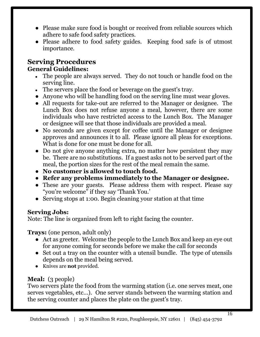- Please make sure food is bought or received from reliable sources which adhere to safe food safety practices.
- Please adhere to food safety guides. Keeping food safe is of utmost importance.

# **Serving Procedures General Guidelines:**

- The people are always served. They do not touch or handle food on the serving line.
- The servers place the food or beverage on the guest's tray.
- Anyone who will be handling food on the serving line must wear gloves.
- All requests for take-out are referred to the Manager or designee. The Lunch Box does not refuse anyone a meal, however, there are some individuals who have restricted access to the Lunch Box. The Manager or designee will see that those individuals are provided a meal.
- No seconds are given except for coffee until the Manager or designee approves and announces it to all. Please ignore all pleas for exceptions. What is done for one must be done for all.
- Do not give anyone anything extra, no matter how persistent they may be. There are no substitutions. If a guest asks not to be served part of the meal, the portion sizes for the rest of the meal remain the same.
- **No customer is allowed to touch food.**
- **Refer any problems immediately to the Manager or designee.**
- These are your guests. Please address them with respect. Please say "you're welcome" if they say 'Thank You.'
- Serving stops at 1:00. Begin cleaning your station at that time

## **Serving Jobs:**

Note: The line is organized from left to right facing the counter.

**Trays:** (one person, adult only)

- Act as greeter. Welcome the people to the Lunch Box and keep an eye out for anyone coming for seconds before we make the call for seconds
- Set out a tray on the counter with a utensil bundle. The type of utensils depends on the meal being served.
- Knives are **not** provided.

# **Meal:** (3 people)

Two servers plate the food from the warming station (i.e. one serves meat, one serves vegetables, etc…). One server stands between the warming station and the serving counter and places the plate on the guest's tray.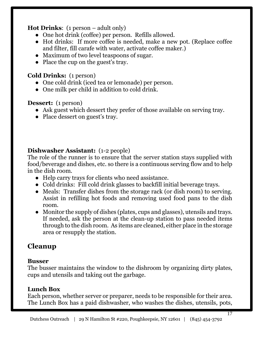# **Hot Drinks**: (1 person – adult only)

- One hot drink (coffee) per person. Refills allowed.
- Hot drinks: If more coffee is needed, make a new pot. (Replace coffee and filter, fill carafe with water, activate coffee maker.)
- Maximum of two level teaspoons of sugar.
- Place the cup on the guest's tray.

# **Cold Drinks:** (1 person)

- One cold drink (iced tea or lemonade) per person.
- One milk per child in addition to cold drink.

# **Dessert:** (1 person)

- Ask guest which dessert they prefer of those available on serving tray.
- Place dessert on guest's tray.

# **Dishwasher Assistant:** (1-2 people)

The role of the runner is to ensure that the server station stays supplied with food/beverage and dishes, etc. so there is a continuous serving flow and to help in the dish room.

- Help carry trays for clients who need assistance.
- Cold drinks: Fill cold drink glasses to backfill initial beverage trays.
- Meals: Transfer dishes from the storage rack (or dish room) to serving. Assist in refilling hot foods and removing used food pans to the dish room.
- Monitor the supply of dishes (plates, cups and glasses), utensils and trays. If needed, ask the person at the clean-up station to pass needed items through to the dish room. As items are cleaned, either place in the storage area or resupply the station.

# **Cleanup**

# **Busser**

The busser maintains the window to the dishroom by organizing dirty plates, cups and utensils and taking out the garbage.

# **Lunch Box**

Each person, whether server or preparer, needs to be responsible for their area. The Lunch Box has a paid dishwasher, who washes the dishes, utensils, pots,